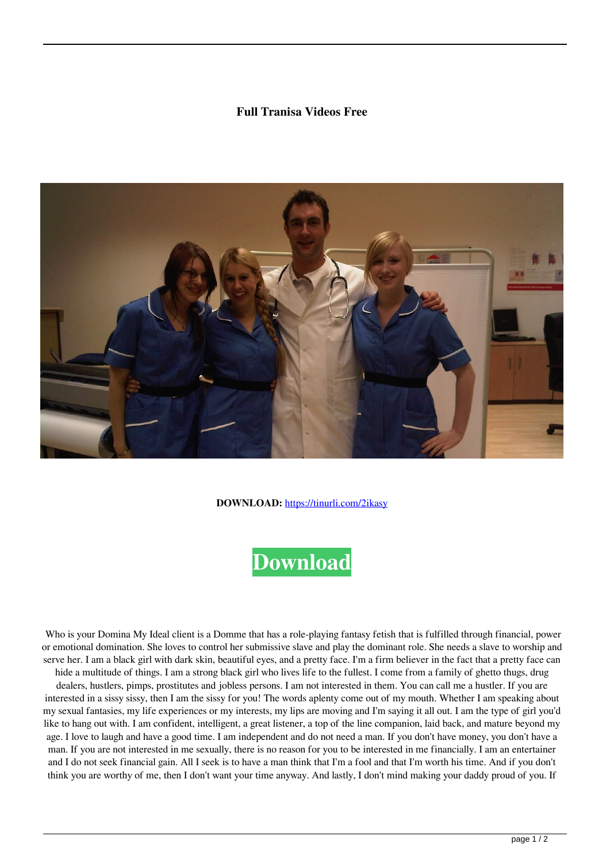## **Full Tranisa Videos Free**



**DOWNLOAD:** <https://tinurli.com/2ikasy>



 Who is your Domina My Ideal client is a Domme that has a role-playing fantasy fetish that is fulfilled through financial, power or emotional domination. She loves to control her submissive slave and play the dominant role. She needs a slave to worship and serve her. I am a black girl with dark skin, beautiful eyes, and a pretty face. I'm a firm believer in the fact that a pretty face can hide a multitude of things. I am a strong black girl who lives life to the fullest. I come from a family of ghetto thugs, drug dealers, hustlers, pimps, prostitutes and jobless persons. I am not interested in them. You can call me a hustler. If you are interested in a sissy sissy, then I am the sissy for you! The words aplenty come out of my mouth. Whether I am speaking about my sexual fantasies, my life experiences or my interests, my lips are moving and I'm saying it all out. I am the type of girl you'd like to hang out with. I am confident, intelligent, a great listener, a top of the line companion, laid back, and mature beyond my age. I love to laugh and have a good time. I am independent and do not need a man. If you don't have money, you don't have a man. If you are not interested in me sexually, there is no reason for you to be interested in me financially. I am an entertainer and I do not seek financial gain. All I seek is to have a man think that I'm a fool and that I'm worth his time. And if you don't think you are worthy of me, then I don't want your time anyway. And lastly, I don't mind making your daddy proud of you. If